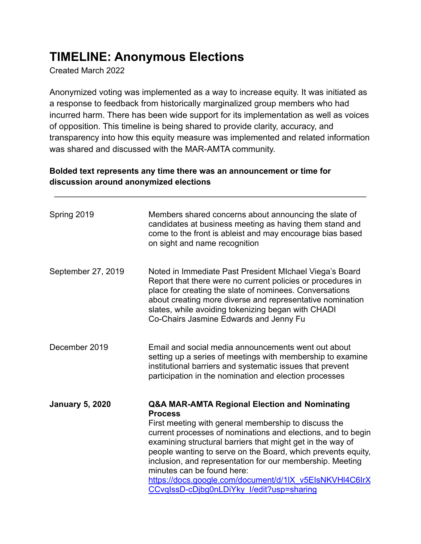## **TIMELINE: Anonymous Elections**

Created March 2022

Anonymized voting was implemented as a way to increase equity. It was initiated as a response to feedback from historically marginalized group members who had incurred harm. There has been wide support for its implementation as well as voices of opposition. This timeline is being shared to provide clarity, accuracy, and transparency into how this equity measure was implemented and related information was shared and discussed with the MAR-AMTA community.

\_\_\_\_\_\_\_\_\_\_\_\_\_\_\_\_\_\_\_\_\_\_\_\_\_\_\_\_\_\_\_\_\_\_\_\_\_\_\_\_\_\_\_\_\_\_\_\_\_\_\_\_\_\_\_\_\_\_\_\_\_\_\_\_\_\_\_\_

## **Bolded text represents any time there was an announcement or time for discussion around anonymized elections**

| Spring 2019            | Members shared concerns about announcing the slate of<br>candidates at business meeting as having them stand and<br>come to the front is ableist and may encourage bias based<br>on sight and name recognition                                                                                                                                                                                                                                                                                                                      |
|------------------------|-------------------------------------------------------------------------------------------------------------------------------------------------------------------------------------------------------------------------------------------------------------------------------------------------------------------------------------------------------------------------------------------------------------------------------------------------------------------------------------------------------------------------------------|
| September 27, 2019     | Noted in Immediate Past President MIchael Viega's Board<br>Report that there were no current policies or procedures in<br>place for creating the slate of nominees. Conversations<br>about creating more diverse and representative nomination<br>slates, while avoiding tokenizing began with CHADI<br>Co-Chairs Jasmine Edwards and Jenny Fu                                                                                                                                                                                      |
| December 2019          | Email and social media announcements went out about<br>setting up a series of meetings with membership to examine<br>institutional barriers and systematic issues that prevent<br>participation in the nomination and election processes                                                                                                                                                                                                                                                                                            |
| <b>January 5, 2020</b> | <b>Q&amp;A MAR-AMTA Regional Election and Nominating</b><br><b>Process</b><br>First meeting with general membership to discuss the<br>current processes of nominations and elections, and to begin<br>examining structural barriers that might get in the way of<br>people wanting to serve on the Board, which prevents equity,<br>inclusion, and representation for our membership. Meeting<br>minutes can be found here:<br>https://docs.google.com/document/d/1IX v5EIsNKVHI4C6IrX<br>CCvglssD-cDjbg0nLDiYky l/edit?usp=sharing |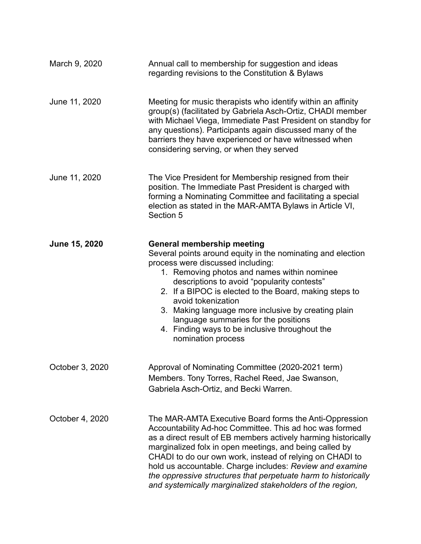| March 9, 2020   | Annual call to membership for suggestion and ideas<br>regarding revisions to the Constitution & Bylaws                                                                                                                                                                                                                                                                                                                                                                                                |
|-----------------|-------------------------------------------------------------------------------------------------------------------------------------------------------------------------------------------------------------------------------------------------------------------------------------------------------------------------------------------------------------------------------------------------------------------------------------------------------------------------------------------------------|
| June 11, 2020   | Meeting for music therapists who identify within an affinity<br>group(s) (facilitated by Gabriela Asch-Ortiz, CHADI member<br>with Michael Viega, Immediate Past President on standby for<br>any questions). Participants again discussed many of the<br>barriers they have experienced or have witnessed when<br>considering serving, or when they served                                                                                                                                            |
| June 11, 2020   | The Vice President for Membership resigned from their<br>position. The Immediate Past President is charged with<br>forming a Nominating Committee and facilitating a special<br>election as stated in the MAR-AMTA Bylaws in Article VI,<br>Section 5                                                                                                                                                                                                                                                 |
| June 15, 2020   | <b>General membership meeting</b><br>Several points around equity in the nominating and election<br>process were discussed including:<br>1. Removing photos and names within nominee<br>descriptions to avoid "popularity contests"<br>2. If a BIPOC is elected to the Board, making steps to<br>avoid tokenization<br>3. Making language more inclusive by creating plain<br>language summaries for the positions<br>4. Finding ways to be inclusive throughout the<br>nomination process            |
| October 3, 2020 | Approval of Nominating Committee (2020-2021 term)<br>Members. Tony Torres, Rachel Reed, Jae Swanson,<br>Gabriela Asch-Ortiz, and Becki Warren.                                                                                                                                                                                                                                                                                                                                                        |
| October 4, 2020 | The MAR-AMTA Executive Board forms the Anti-Oppression<br>Accountability Ad-hoc Committee. This ad hoc was formed<br>as a direct result of EB members actively harming historically<br>marginalized folx in open meetings, and being called by<br>CHADI to do our own work, instead of relying on CHADI to<br>hold us accountable. Charge includes: Review and examine<br>the oppressive structures that perpetuate harm to historically<br>and systemically marginalized stakeholders of the region, |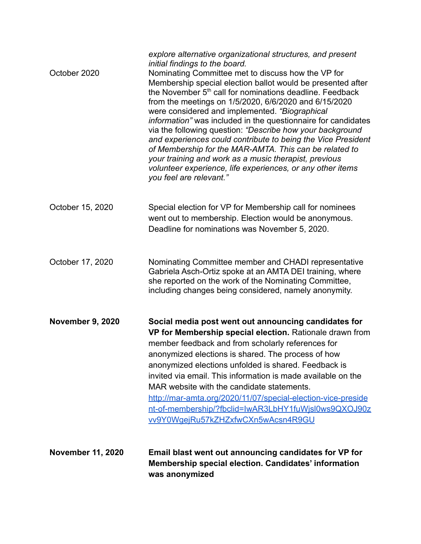| <b>November 11, 2020</b> | Email blast went out announcing candidates for VP for<br>Membership special election. Candidates' information<br>was anonymized                                                                                                                                                                                                                                                                                                                                                                                                                                                                                                                                                                                                                                                                                |
|--------------------------|----------------------------------------------------------------------------------------------------------------------------------------------------------------------------------------------------------------------------------------------------------------------------------------------------------------------------------------------------------------------------------------------------------------------------------------------------------------------------------------------------------------------------------------------------------------------------------------------------------------------------------------------------------------------------------------------------------------------------------------------------------------------------------------------------------------|
| <b>November 9, 2020</b>  | Social media post went out announcing candidates for<br>VP for Membership special election. Rationale drawn from<br>member feedback and from scholarly references for<br>anonymized elections is shared. The process of how<br>anonymized elections unfolded is shared. Feedback is<br>invited via email. This information is made available on the<br>MAR website with the candidate statements.<br>http://mar-amta.org/2020/11/07/special-election-vice-preside<br>nt-of-membership/?fbclid=IwAR3LbHY1fuWjsl0ws9QXOJ90z<br>vv9Y0WgejRu57kZHZxfwCXn5wAcsn4R9GU                                                                                                                                                                                                                                                |
| October 17, 2020         | Nominating Committee member and CHADI representative<br>Gabriela Asch-Ortiz spoke at an AMTA DEI training, where<br>she reported on the work of the Nominating Committee,<br>including changes being considered, namely anonymity.                                                                                                                                                                                                                                                                                                                                                                                                                                                                                                                                                                             |
| October 15, 2020         | Special election for VP for Membership call for nominees<br>went out to membership. Election would be anonymous.<br>Deadline for nominations was November 5, 2020.                                                                                                                                                                                                                                                                                                                                                                                                                                                                                                                                                                                                                                             |
| October 2020             | explore alternative organizational structures, and present<br>initial findings to the board.<br>Nominating Committee met to discuss how the VP for<br>Membership special election ballot would be presented after<br>the November 5 <sup>th</sup> call for nominations deadline. Feedback<br>from the meetings on 1/5/2020, 6/6/2020 and 6/15/2020<br>were considered and implemented. "Biographical<br>information" was included in the questionnaire for candidates<br>via the following question: "Describe how your background<br>and experiences could contribute to being the Vice President<br>of Membership for the MAR-AMTA. This can be related to<br>your training and work as a music therapist, previous<br>volunteer experience, life experiences, or any other items<br>you feel are relevant." |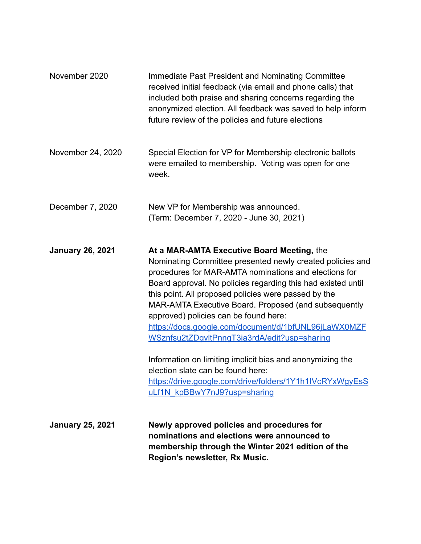| November 2020           | Immediate Past President and Nominating Committee<br>received initial feedback (via email and phone calls) that<br>included both praise and sharing concerns regarding the<br>anonymized election. All feedback was saved to help inform<br>future review of the policies and future elections                                                                                                                                                                                                                                                                                                                                                                                                  |
|-------------------------|-------------------------------------------------------------------------------------------------------------------------------------------------------------------------------------------------------------------------------------------------------------------------------------------------------------------------------------------------------------------------------------------------------------------------------------------------------------------------------------------------------------------------------------------------------------------------------------------------------------------------------------------------------------------------------------------------|
| November 24, 2020       | Special Election for VP for Membership electronic ballots<br>were emailed to membership. Voting was open for one<br>week.                                                                                                                                                                                                                                                                                                                                                                                                                                                                                                                                                                       |
| December 7, 2020        | New VP for Membership was announced.<br>(Term: December 7, 2020 - June 30, 2021)                                                                                                                                                                                                                                                                                                                                                                                                                                                                                                                                                                                                                |
| <b>January 26, 2021</b> | At a MAR-AMTA Executive Board Meeting, the<br>Nominating Committee presented newly created policies and<br>procedures for MAR-AMTA nominations and elections for<br>Board approval. No policies regarding this had existed until<br>this point. All proposed policies were passed by the<br>MAR-AMTA Executive Board. Proposed (and subsequently<br>approved) policies can be found here:<br>https://docs.google.com/document/d/1bfUNL96jLaWX0MZF<br>WSznfsu2tZDgvltPnngT3ia3rdA/edit?usp=sharing<br>Information on limiting implicit bias and anonymizing the<br>election slate can be found here:<br>https://drive.google.com/drive/folders/1Y1h1IVcRYxWgyEsS<br>uLf1N kpBBwY7nJ9?usp=sharing |
| <b>January 25, 2021</b> | Newly approved policies and procedures for<br>nominations and elections were announced to<br>membership through the Winter 2021 edition of the<br>Region's newsletter, Rx Music.                                                                                                                                                                                                                                                                                                                                                                                                                                                                                                                |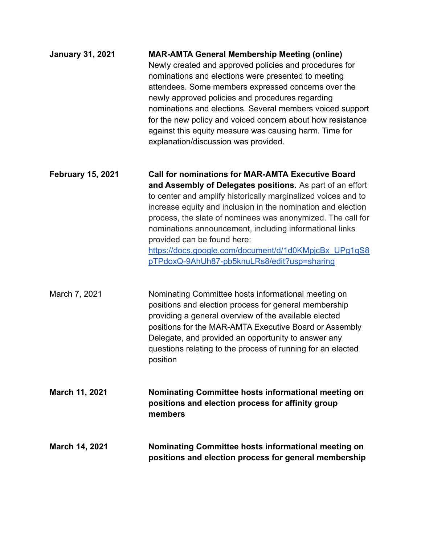| <b>January 31, 2021</b>  | <b>MAR-AMTA General Membership Meeting (online)</b><br>Newly created and approved policies and procedures for<br>nominations and elections were presented to meeting<br>attendees. Some members expressed concerns over the<br>newly approved policies and procedures regarding<br>nominations and elections. Several members voiced support<br>for the new policy and voiced concern about how resistance<br>against this equity measure was causing harm. Time for<br>explanation/discussion was provided.            |
|--------------------------|-------------------------------------------------------------------------------------------------------------------------------------------------------------------------------------------------------------------------------------------------------------------------------------------------------------------------------------------------------------------------------------------------------------------------------------------------------------------------------------------------------------------------|
| <b>February 15, 2021</b> | <b>Call for nominations for MAR-AMTA Executive Board</b><br>and Assembly of Delegates positions. As part of an effort<br>to center and amplify historically marginalized voices and to<br>increase equity and inclusion in the nomination and election<br>process, the slate of nominees was anonymized. The call for<br>nominations announcement, including informational links<br>provided can be found here:<br>https://docs.google.com/document/d/1d0KMpjcBx UPg1qS8<br>pTPdoxQ-9AhUh87-pb5knuLRs8/edit?usp=sharing |
| March 7, 2021            | Nominating Committee hosts informational meeting on<br>positions and election process for general membership<br>providing a general overview of the available elected<br>positions for the MAR-AMTA Executive Board or Assembly<br>Delegate, and provided an opportunity to answer any<br>questions relating to the process of running for an elected<br>position                                                                                                                                                       |
| March 11, 2021           | Nominating Committee hosts informational meeting on<br>positions and election process for affinity group<br>members                                                                                                                                                                                                                                                                                                                                                                                                     |
| <b>March 14, 2021</b>    | <b>Nominating Committee hosts informational meeting on</b><br>positions and election process for general membership                                                                                                                                                                                                                                                                                                                                                                                                     |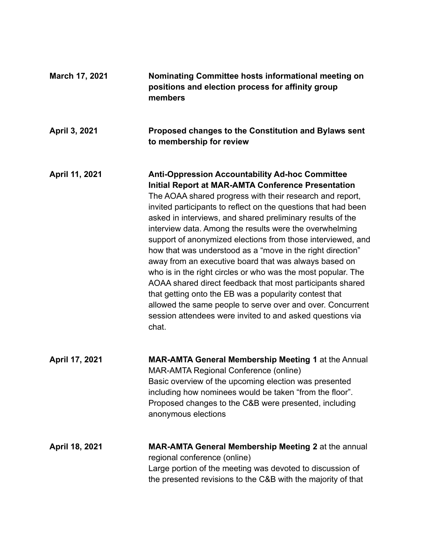| March 17, 2021 | Nominating Committee hosts informational meeting on<br>positions and election process for affinity group<br>members                                                                                                                                                                                                                                                                                                                                                                                                                                                                                                                                                                                                                                                                                                                                                                         |
|----------------|---------------------------------------------------------------------------------------------------------------------------------------------------------------------------------------------------------------------------------------------------------------------------------------------------------------------------------------------------------------------------------------------------------------------------------------------------------------------------------------------------------------------------------------------------------------------------------------------------------------------------------------------------------------------------------------------------------------------------------------------------------------------------------------------------------------------------------------------------------------------------------------------|
| April 3, 2021  | Proposed changes to the Constitution and Bylaws sent<br>to membership for review                                                                                                                                                                                                                                                                                                                                                                                                                                                                                                                                                                                                                                                                                                                                                                                                            |
| April 11, 2021 | <b>Anti-Oppression Accountability Ad-hoc Committee</b><br><b>Initial Report at MAR-AMTA Conference Presentation</b><br>The AOAA shared progress with their research and report,<br>invited participants to reflect on the questions that had been<br>asked in interviews, and shared preliminary results of the<br>interview data. Among the results were the overwhelming<br>support of anonymized elections from those interviewed, and<br>how that was understood as a "move in the right direction"<br>away from an executive board that was always based on<br>who is in the right circles or who was the most popular. The<br>AOAA shared direct feedback that most participants shared<br>that getting onto the EB was a popularity contest that<br>allowed the same people to serve over and over. Concurrent<br>session attendees were invited to and asked questions via<br>chat. |
| April 17, 2021 | <b>MAR-AMTA General Membership Meeting 1 at the Annual</b><br><b>MAR-AMTA Regional Conference (online)</b><br>Basic overview of the upcoming election was presented<br>including how nominees would be taken "from the floor".<br>Proposed changes to the C&B were presented, including<br>anonymous elections                                                                                                                                                                                                                                                                                                                                                                                                                                                                                                                                                                              |
| April 18, 2021 | MAR-AMTA General Membership Meeting 2 at the annual<br>regional conference (online)<br>Large portion of the meeting was devoted to discussion of<br>the presented revisions to the C&B with the majority of that                                                                                                                                                                                                                                                                                                                                                                                                                                                                                                                                                                                                                                                                            |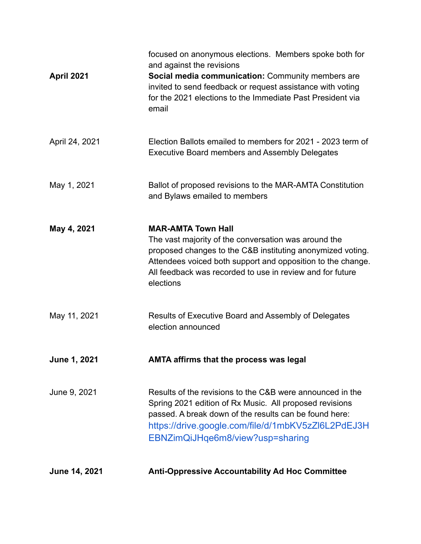| <b>June 14, 2021</b> | <b>Anti-Oppressive Accountability Ad Hoc Committee</b>                                                                                                                                                                                                                                   |
|----------------------|------------------------------------------------------------------------------------------------------------------------------------------------------------------------------------------------------------------------------------------------------------------------------------------|
| June 9, 2021         | Results of the revisions to the C&B were announced in the<br>Spring 2021 edition of Rx Music. All proposed revisions<br>passed. A break down of the results can be found here:<br>https://drive.google.com/file/d/1mbKV5zZl6L2PdEJ3H<br>EBNZimQiJHqe6m8/view?usp=sharing                 |
| June 1, 2021         | <b>AMTA affirms that the process was legal</b>                                                                                                                                                                                                                                           |
| May 11, 2021         | Results of Executive Board and Assembly of Delegates<br>election announced                                                                                                                                                                                                               |
| May 4, 2021          | <b>MAR-AMTA Town Hall</b><br>The vast majority of the conversation was around the<br>proposed changes to the C&B instituting anonymized voting.<br>Attendees voiced both support and opposition to the change.<br>All feedback was recorded to use in review and for future<br>elections |
| May 1, 2021          | Ballot of proposed revisions to the MAR-AMTA Constitution<br>and Bylaws emailed to members                                                                                                                                                                                               |
| April 24, 2021       | Election Ballots emailed to members for 2021 - 2023 term of<br><b>Executive Board members and Assembly Delegates</b>                                                                                                                                                                     |
| April 2021           | focused on anonymous elections. Members spoke both for<br>and against the revisions<br>Social media communication: Community members are<br>invited to send feedback or request assistance with voting<br>for the 2021 elections to the Immediate Past President via<br>email            |